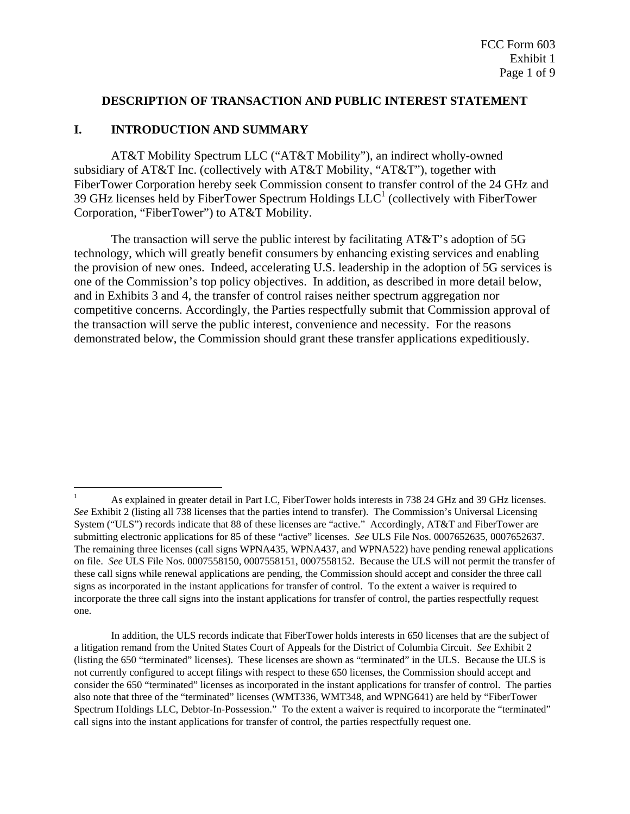#### **DESCRIPTION OF TRANSACTION AND PUBLIC INTEREST STATEMENT**

#### **I. INTRODUCTION AND SUMMARY**

 $\overline{a}$ 

 AT&T Mobility Spectrum LLC ("AT&T Mobility"), an indirect wholly-owned subsidiary of AT&T Inc. (collectively with AT&T Mobility, "AT&T"), together with FiberTower Corporation hereby seek Commission consent to transfer control of the 24 GHz and 39 GHz licenses held by FiberTower Spectrum Holdings  $LLC<sup>1</sup>$  (collectively with FiberTower Corporation, "FiberTower") to AT&T Mobility.

 The transaction will serve the public interest by facilitating AT&T's adoption of 5G technology, which will greatly benefit consumers by enhancing existing services and enabling the provision of new ones. Indeed, accelerating U.S. leadership in the adoption of 5G services is one of the Commission's top policy objectives. In addition, as described in more detail below, and in Exhibits 3 and 4, the transfer of control raises neither spectrum aggregation nor competitive concerns. Accordingly, the Parties respectfully submit that Commission approval of the transaction will serve the public interest, convenience and necessity. For the reasons demonstrated below, the Commission should grant these transfer applications expeditiously.

<sup>1</sup> As explained in greater detail in Part I.C, FiberTower holds interests in 738 24 GHz and 39 GHz licenses. *See* Exhibit 2 (listing all 738 licenses that the parties intend to transfer). The Commission's Universal Licensing System ("ULS") records indicate that 88 of these licenses are "active." Accordingly, AT&T and FiberTower are submitting electronic applications for 85 of these "active" licenses. *See* ULS File Nos. 0007652635, 0007652637. The remaining three licenses (call signs WPNA435, WPNA437, and WPNA522) have pending renewal applications on file. *See* ULS File Nos. 0007558150, 0007558151, 0007558152. Because the ULS will not permit the transfer of these call signs while renewal applications are pending, the Commission should accept and consider the three call signs as incorporated in the instant applications for transfer of control. To the extent a waiver is required to incorporate the three call signs into the instant applications for transfer of control, the parties respectfully request one.

In addition, the ULS records indicate that FiberTower holds interests in 650 licenses that are the subject of a litigation remand from the United States Court of Appeals for the District of Columbia Circuit. *See* Exhibit 2 (listing the 650 "terminated" licenses). These licenses are shown as "terminated" in the ULS. Because the ULS is not currently configured to accept filings with respect to these 650 licenses, the Commission should accept and consider the 650 "terminated" licenses as incorporated in the instant applications for transfer of control. The parties also note that three of the "terminated" licenses (WMT336, WMT348, and WPNG641) are held by "FiberTower Spectrum Holdings LLC, Debtor-In-Possession." To the extent a waiver is required to incorporate the "terminated" call signs into the instant applications for transfer of control, the parties respectfully request one.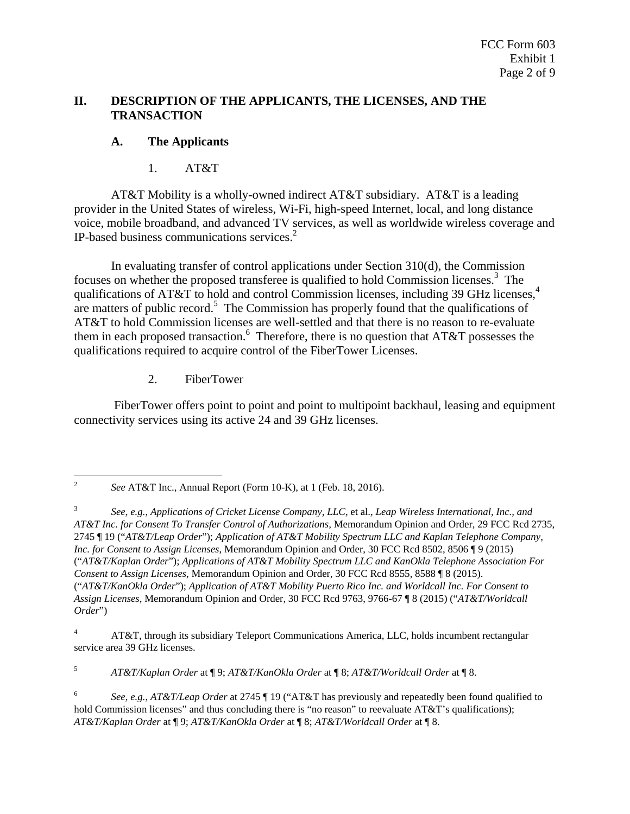# **II. DESCRIPTION OF THE APPLICANTS, THE LICENSES, AND THE TRANSACTION**

# **A. The Applicants**

1. AT&T

 AT&T Mobility is a wholly-owned indirect AT&T subsidiary. AT&T is a leading provider in the United States of wireless, Wi-Fi, high-speed Internet, local, and long distance voice, mobile broadband, and advanced TV services, as well as worldwide wireless coverage and IP-based business communications services.2

In evaluating transfer of control applications under Section 310(d), the Commission focuses on whether the proposed transferee is qualified to hold Commission licenses.<sup>3</sup> The qualifications of AT&T to hold and control Commission licenses, including 39 GHz licenses,<sup>4</sup> are matters of public record.<sup>5</sup> The Commission has properly found that the qualifications of AT&T to hold Commission licenses are well-settled and that there is no reason to re-evaluate them in each proposed transaction.  $6\text{ Therefore, there is no question that AT&T possess the }$ qualifications required to acquire control of the FiberTower Licenses.

2. FiberTower

 FiberTower offers point to point and point to multipoint backhaul, leasing and equipment connectivity services using its active 24 and 39 GHz licenses.

5 *AT&T/Kaplan Order* at ¶ 9; *AT&T/KanOkla Order* at ¶ 8; *AT&T/Worldcall Order* at ¶ 8.

<sup>1</sup> 2 *See* AT&T Inc., Annual Report (Form 10-K), at 1 (Feb. 18, 2016).

<sup>3</sup> *See, e.g.*, *Applications of Cricket License Company, LLC,* et al.*, Leap Wireless International, Inc., and AT&T Inc. for Consent To Transfer Control of Authorizations,* Memorandum Opinion and Order, 29 FCC Rcd 2735, 2745 ¶ 19 ("*AT&T/Leap Order*"); *Application of AT&T Mobility Spectrum LLC and Kaplan Telephone Company, Inc. for Consent to Assign Licenses*, Memorandum Opinion and Order, 30 FCC Rcd 8502, 8506 ¶ 9 (2015) ("*AT&T/Kaplan Order*"); *Applications of AT&T Mobility Spectrum LLC and KanOkla Telephone Association For Consent to Assign Licenses,* Memorandum Opinion and Order, 30 FCC Rcd 8555, 8588 ¶ 8 (2015). ("*AT&T/KanOkla Order*"); *Application of AT&T Mobility Puerto Rico Inc. and Worldcall Inc. For Consent to Assign Licenses,* Memorandum Opinion and Order, 30 FCC Rcd 9763, 9766-67 ¶ 8 (2015) ("*AT&T/Worldcall Order*")

<sup>4</sup> AT&T, through its subsidiary Teleport Communications America, LLC, holds incumbent rectangular service area 39 GHz licenses.

<sup>6</sup> *See, e.g.*, *AT&T/Leap Order* at 2745 ¶ 19 ("AT&T has previously and repeatedly been found qualified to hold Commission licenses" and thus concluding there is "no reason" to reevaluate AT&T's qualifications); *AT&T/Kaplan Order* at ¶ 9; *AT&T/KanOkla Order* at ¶ 8; *AT&T/Worldcall Order* at ¶ 8.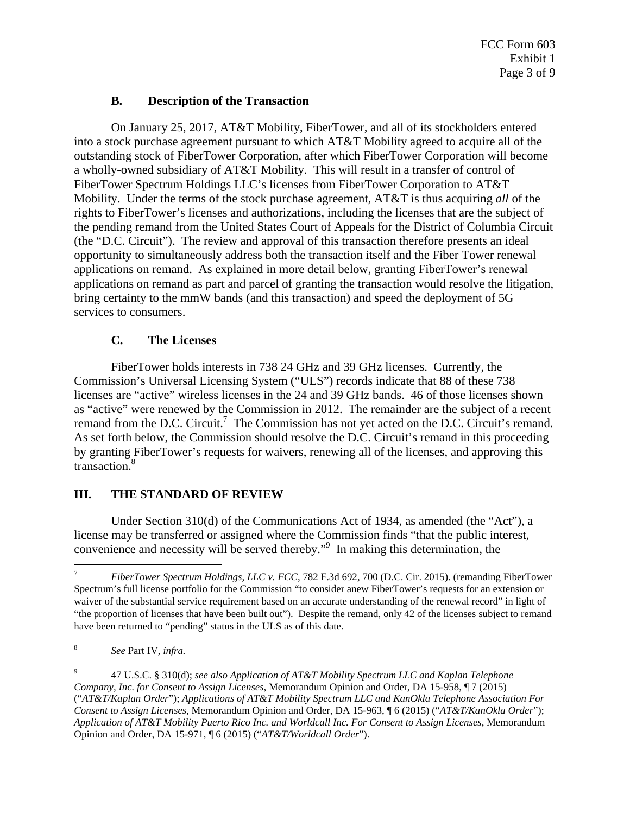## **B. Description of the Transaction**

 On January 25, 2017, AT&T Mobility, FiberTower, and all of its stockholders entered into a stock purchase agreement pursuant to which AT&T Mobility agreed to acquire all of the outstanding stock of FiberTower Corporation, after which FiberTower Corporation will become a wholly-owned subsidiary of AT&T Mobility. This will result in a transfer of control of FiberTower Spectrum Holdings LLC's licenses from FiberTower Corporation to AT&T Mobility. Under the terms of the stock purchase agreement, AT&T is thus acquiring *all* of the rights to FiberTower's licenses and authorizations, including the licenses that are the subject of the pending remand from the United States Court of Appeals for the District of Columbia Circuit (the "D.C. Circuit"). The review and approval of this transaction therefore presents an ideal opportunity to simultaneously address both the transaction itself and the Fiber Tower renewal applications on remand. As explained in more detail below, granting FiberTower's renewal applications on remand as part and parcel of granting the transaction would resolve the litigation, bring certainty to the mmW bands (and this transaction) and speed the deployment of 5G services to consumers.

## **C. The Licenses**

 FiberTower holds interests in 738 24 GHz and 39 GHz licenses. Currently, the Commission's Universal Licensing System ("ULS") records indicate that 88 of these 738 licenses are "active" wireless licenses in the 24 and 39 GHz bands. 46 of those licenses shown as "active" were renewed by the Commission in 2012. The remainder are the subject of a recent remand from the D.C. Circuit.<sup>7</sup> The Commission has not yet acted on the D.C. Circuit's remand. As set forth below, the Commission should resolve the D.C. Circuit's remand in this proceeding by granting FiberTower's requests for waivers, renewing all of the licenses, and approving this transaction.<sup>8</sup>

# **III. THE STANDARD OF REVIEW**

 Under Section 310(d) of the Communications Act of 1934, as amended (the "Act"), a license may be transferred or assigned where the Commission finds "that the public interest, convenience and necessity will be served thereby."<sup>9</sup> In making this determination, the

1

<sup>7</sup> *FiberTower Spectrum Holdings, LLC v. FCC*, 782 F.3d 692, 700 (D.C. Cir. 2015). (remanding FiberTower Spectrum's full license portfolio for the Commission "to consider anew FiberTower's requests for an extension or waiver of the substantial service requirement based on an accurate understanding of the renewal record" in light of "the proportion of licenses that have been built out"). Despite the remand, only 42 of the licenses subject to remand have been returned to "pending" status in the ULS as of this date.

<sup>8</sup> *See* Part IV, *infra.*

<sup>9</sup> 47 U.S.C. § 310(d); *see also Application of AT&T Mobility Spectrum LLC and Kaplan Telephone Company, Inc. for Consent to Assign Licenses,* Memorandum Opinion and Order, DA 15-958, ¶ 7 (2015) ("*AT&T/Kaplan Order*"); *Applications of AT&T Mobility Spectrum LLC and KanOkla Telephone Association For Consent to Assign Licenses,* Memorandum Opinion and Order, DA 15-963, ¶ 6 (2015) ("*AT&T/KanOkla Order*"); *Application of AT&T Mobility Puerto Rico Inc. and Worldcall Inc. For Consent to Assign Licenses,* Memorandum Opinion and Order, DA 15-971, ¶ 6 (2015) ("*AT&T/Worldcall Order*").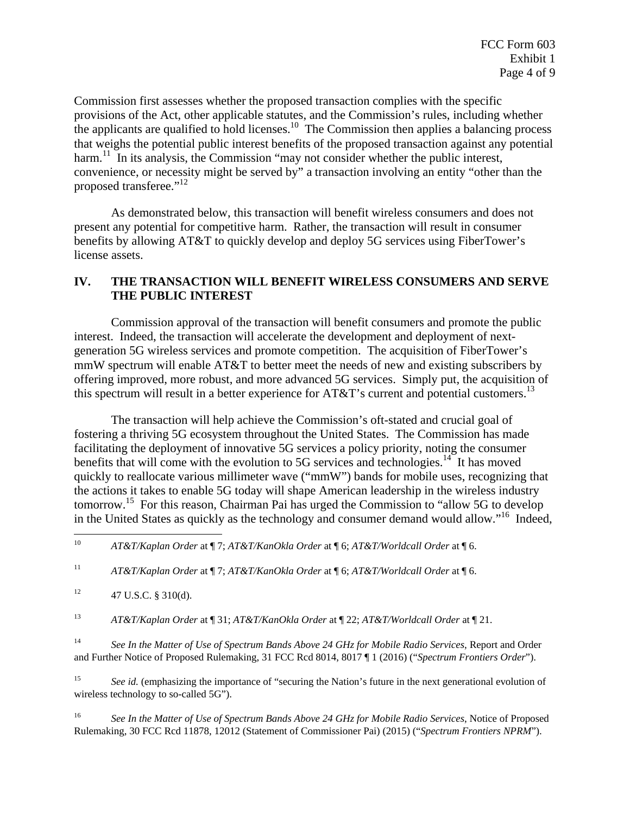Commission first assesses whether the proposed transaction complies with the specific provisions of the Act, other applicable statutes, and the Commission's rules, including whether the applicants are qualified to hold licenses.<sup>10</sup> The Commission then applies a balancing process that weighs the potential public interest benefits of the proposed transaction against any potential harm.<sup>11</sup> In its analysis, the Commission "may not consider whether the public interest, convenience, or necessity might be served by" a transaction involving an entity "other than the proposed transferee."<sup>12</sup>

 As demonstrated below, this transaction will benefit wireless consumers and does not present any potential for competitive harm. Rather, the transaction will result in consumer benefits by allowing AT&T to quickly develop and deploy 5G services using FiberTower's license assets.

# **IV. THE TRANSACTION WILL BENEFIT WIRELESS CONSUMERS AND SERVE THE PUBLIC INTEREST**

 Commission approval of the transaction will benefit consumers and promote the public interest. Indeed, the transaction will accelerate the development and deployment of nextgeneration 5G wireless services and promote competition. The acquisition of FiberTower's mmW spectrum will enable AT&T to better meet the needs of new and existing subscribers by offering improved, more robust, and more advanced 5G services. Simply put, the acquisition of this spectrum will result in a better experience for  $AT&T$ 's current and potential customers.<sup>13</sup>

 The transaction will help achieve the Commission's oft-stated and crucial goal of fostering a thriving 5G ecosystem throughout the United States. The Commission has made facilitating the deployment of innovative 5G services a policy priority, noting the consumer benefits that will come with the evolution to 5G services and technologies.<sup>14</sup> It has moved quickly to reallocate various millimeter wave ("mmW") bands for mobile uses, recognizing that the actions it takes to enable 5G today will shape American leadership in the wireless industry tomorrow.15 For this reason, Chairman Pai has urged the Commission to "allow 5G to develop in the United States as quickly as the technology and consumer demand would allow."16 Indeed,

11 *AT&T/Kaplan Order* at ¶ 7; *AT&T/KanOkla Order* at ¶ 6; *AT&T/Worldcall Order* at ¶ 6.

13 *AT&T/Kaplan Order* at ¶ 31; *AT&T/KanOkla Order* at ¶ 22; *AT&T/Worldcall Order* at ¶ 21.

14 *See In the Matter of Use of Spectrum Bands Above 24 GHz for Mobile Radio Services*, Report and Order and Further Notice of Proposed Rulemaking, 31 FCC Rcd 8014, 8017 ¶ 1 (2016) ("*Spectrum Frontiers Order*").

<sup>15</sup> *See id.* (emphasizing the importance of "securing the Nation's future in the next generational evolution of wireless technology to so-called 5G").

16 *See In the Matter of Use of Spectrum Bands Above 24 GHz for Mobile Radio Services*, Notice of Proposed Rulemaking, 30 FCC Rcd 11878, 12012 (Statement of Commissioner Pai) (2015) ("*Spectrum Frontiers NPRM*").

 $10<sup>10</sup>$ 10 *AT&T/Kaplan Order* at ¶ 7; *AT&T/KanOkla Order* at ¶ 6; *AT&T/Worldcall Order* at ¶ 6.

 $12 \t 47 \text{ U.S.C. }$ § 310(d).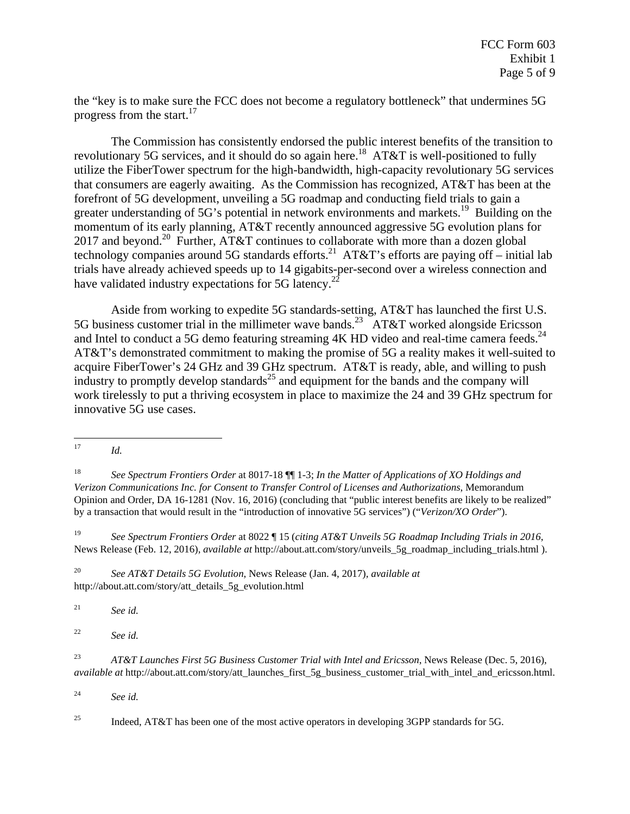the "key is to make sure the FCC does not become a regulatory bottleneck" that undermines 5G progress from the start. $17$ 

The Commission has consistently endorsed the public interest benefits of the transition to revolutionary 5G services, and it should do so again here.<sup>18</sup> AT&T is well-positioned to fully utilize the FiberTower spectrum for the high-bandwidth, high-capacity revolutionary 5G services that consumers are eagerly awaiting. As the Commission has recognized, AT&T has been at the forefront of 5G development, unveiling a 5G roadmap and conducting field trials to gain a greater understanding of 5G's potential in network environments and markets.<sup>19</sup> Building on the momentum of its early planning, AT&T recently announced aggressive 5G evolution plans for 2017 and beyond.<sup>20</sup> Further, AT&T continues to collaborate with more than a dozen global technology companies around 5G standards efforts.<sup>21</sup> AT&T's efforts are paying off – initial lab trials have already achieved speeds up to 14 gigabits-per-second over a wireless connection and have validated industry expectations for 5G latency.<sup>22</sup>

Aside from working to expedite 5G standards-setting, AT&T has launched the first U.S. 5G business customer trial in the millimeter wave bands.<sup>23</sup> AT&T worked alongside Ericsson and Intel to conduct a 5G demo featuring streaming  $4K$  HD video and real-time camera feeds.<sup>24</sup> AT&T's demonstrated commitment to making the promise of 5G a reality makes it well-suited to acquire FiberTower's 24 GHz and 39 GHz spectrum. AT&T is ready, able, and willing to push industry to promptly develop standards<sup>25</sup> and equipment for the bands and the company will work tirelessly to put a thriving ecosystem in place to maximize the 24 and 39 GHz spectrum for innovative 5G use cases.

19 *See Spectrum Frontiers Order* at 8022 ¶ 15 (*citing AT&T Unveils 5G Roadmap Including Trials in 2016*, News Release (Feb. 12, 2016), *available at* http://about.att.com/story/unveils\_5g\_roadmap\_including\_trials.html ).

20 *See AT&T Details 5G Evolution*, News Release (Jan. 4, 2017), *available at* http://about.att.com/story/att\_details\_5g\_evolution.html

21 *See id.* 

22 *See id.* 

23 *AT&T Launches First 5G Business Customer Trial with Intel and Ericsson*, News Release (Dec. 5, 2016), *available at* http://about.att.com/story/att\_launches\_first\_5g\_business\_customer\_trial\_with\_intel\_and\_ericsson.html.

24 *See id.* 

<sup>25</sup> Indeed, AT&T has been one of the most active operators in developing 3GPP standards for 5G.

 $\overline{a}$  $17$  *Id.* 

<sup>18</sup> *See Spectrum Frontiers Order* at 8017-18 ¶¶ 1-3; *In the Matter of Applications of XO Holdings and Verizon Communications Inc. for Consent to Transfer Control of Licenses and Authorizations*, Memorandum Opinion and Order, DA 16-1281 (Nov. 16, 2016) (concluding that "public interest benefits are likely to be realized" by a transaction that would result in the "introduction of innovative 5G services") ("*Verizon/XO Order*").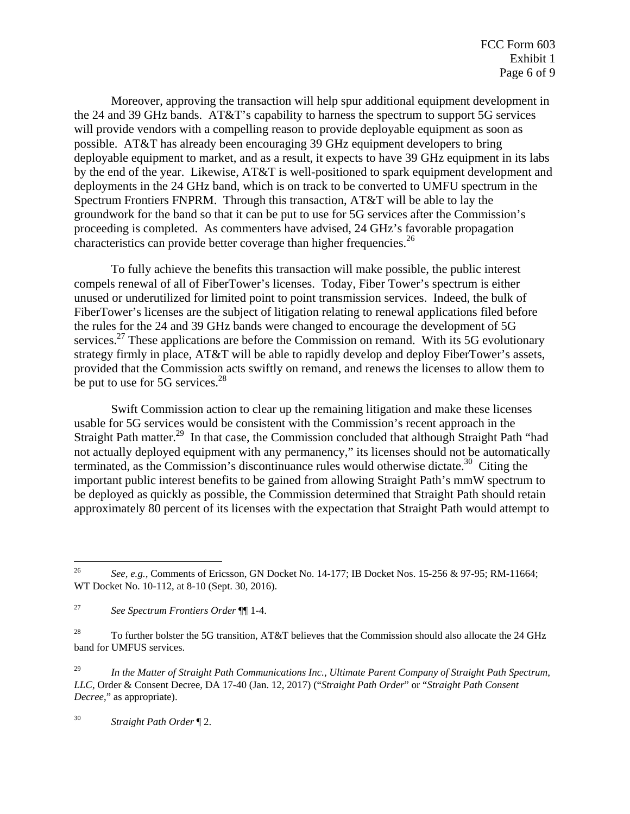Moreover, approving the transaction will help spur additional equipment development in the 24 and 39 GHz bands. AT&T's capability to harness the spectrum to support 5G services will provide vendors with a compelling reason to provide deployable equipment as soon as possible. AT&T has already been encouraging 39 GHz equipment developers to bring deployable equipment to market, and as a result, it expects to have 39 GHz equipment in its labs by the end of the year. Likewise, AT&T is well-positioned to spark equipment development and deployments in the 24 GHz band, which is on track to be converted to UMFU spectrum in the Spectrum Frontiers FNPRM. Through this transaction, AT&T will be able to lay the groundwork for the band so that it can be put to use for 5G services after the Commission's proceeding is completed. As commenters have advised, 24 GHz's favorable propagation characteristics can provide better coverage than higher frequencies.<sup>26</sup>

To fully achieve the benefits this transaction will make possible, the public interest compels renewal of all of FiberTower's licenses. Today, Fiber Tower's spectrum is either unused or underutilized for limited point to point transmission services. Indeed, the bulk of FiberTower's licenses are the subject of litigation relating to renewal applications filed before the rules for the 24 and 39 GHz bands were changed to encourage the development of 5G services.<sup>27</sup> These applications are before the Commission on remand. With its 5G evolutionary strategy firmly in place, AT&T will be able to rapidly develop and deploy FiberTower's assets, provided that the Commission acts swiftly on remand, and renews the licenses to allow them to be put to use for 5G services.<sup>28</sup>

Swift Commission action to clear up the remaining litigation and make these licenses usable for 5G services would be consistent with the Commission's recent approach in the Straight Path matter.<sup>29</sup> In that case, the Commission concluded that although Straight Path "had not actually deployed equipment with any permanency," its licenses should not be automatically terminated, as the Commission's discontinuance rules would otherwise dictate.<sup>30</sup> Citing the important public interest benefits to be gained from allowing Straight Path's mmW spectrum to be deployed as quickly as possible, the Commission determined that Straight Path should retain approximately 80 percent of its licenses with the expectation that Straight Path would attempt to

30 *Straight Path Order* ¶ 2.

 $\overline{a}$ 

<sup>26</sup> *See, e.g.,* Comments of Ericsson, GN Docket No. 14-177; IB Docket Nos. 15-256 & 97-95; RM-11664; WT Docket No. 10-112, at 8-10 (Sept. 30, 2016).

<sup>27</sup> *See Spectrum Frontiers Order* ¶¶ 1-4.

<sup>&</sup>lt;sup>28</sup> To further bolster the 5G transition, AT&T believes that the Commission should also allocate the 24 GHz band for UMFUS services.

<sup>29</sup> *In the Matter of Straight Path Communications Inc., Ultimate Parent Company of Straight Path Spectrum, LLC*, Order & Consent Decree, DA 17-40 (Jan. 12, 2017) ("*Straight Path Order*" or "*Straight Path Consent Decree*," as appropriate).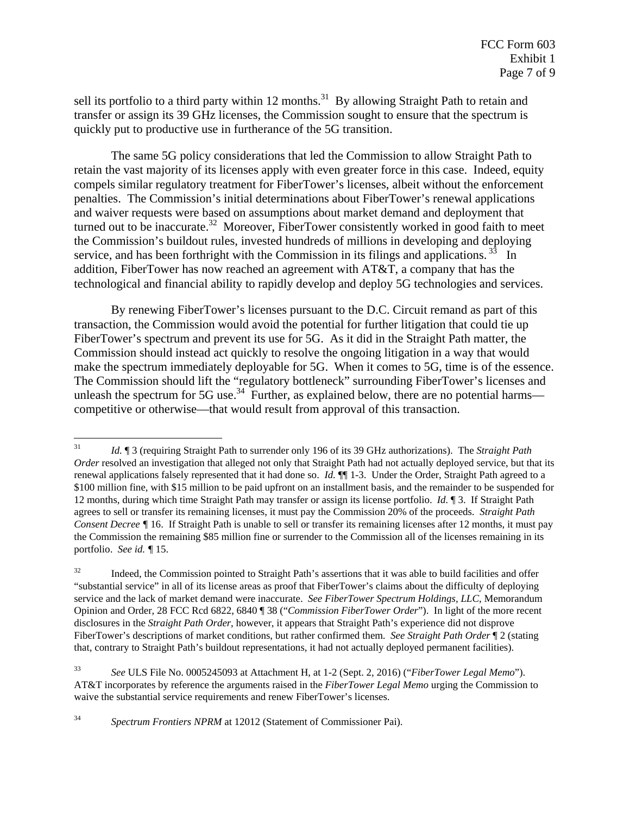sell its portfolio to a third party within 12 months.<sup>31</sup> By allowing Straight Path to retain and transfer or assign its 39 GHz licenses, the Commission sought to ensure that the spectrum is quickly put to productive use in furtherance of the 5G transition.

The same 5G policy considerations that led the Commission to allow Straight Path to retain the vast majority of its licenses apply with even greater force in this case. Indeed, equity compels similar regulatory treatment for FiberTower's licenses, albeit without the enforcement penalties. The Commission's initial determinations about FiberTower's renewal applications and waiver requests were based on assumptions about market demand and deployment that turned out to be inaccurate.<sup>32</sup> Moreover, FiberTower consistently worked in good faith to meet the Commission's buildout rules, invested hundreds of millions in developing and deploying service, and has been forthright with the Commission in its filings and applications.  $3\frac{3}{3}$  In addition, FiberTower has now reached an agreement with AT&T, a company that has the technological and financial ability to rapidly develop and deploy 5G technologies and services.

By renewing FiberTower's licenses pursuant to the D.C. Circuit remand as part of this transaction, the Commission would avoid the potential for further litigation that could tie up FiberTower's spectrum and prevent its use for 5G. As it did in the Straight Path matter, the Commission should instead act quickly to resolve the ongoing litigation in a way that would make the spectrum immediately deployable for 5G. When it comes to 5G, time is of the essence. The Commission should lift the "regulatory bottleneck" surrounding FiberTower's licenses and unleash the spectrum for 5G use.<sup>34</sup> Further, as explained below, there are no potential harms competitive or otherwise—that would result from approval of this transaction.

34 *Spectrum Frontiers NPRM* at 12012 (Statement of Commissioner Pai).

 $\overline{a}$ 31 *Id.* ¶ 3 (requiring Straight Path to surrender only 196 of its 39 GHz authorizations). The *Straight Path Order* resolved an investigation that alleged not only that Straight Path had not actually deployed service, but that its renewal applications falsely represented that it had done so. *Id.* ¶¶ 1-3. Under the Order, Straight Path agreed to a \$100 million fine, with \$15 million to be paid upfront on an installment basis, and the remainder to be suspended for 12 months, during which time Straight Path may transfer or assign its license portfolio. *Id.* ¶ 3. If Straight Path agrees to sell or transfer its remaining licenses, it must pay the Commission 20% of the proceeds. *Straight Path Consent Decree ¶* 16. If Straight Path is unable to sell or transfer its remaining licenses after 12 months, it must pay the Commission the remaining \$85 million fine or surrender to the Commission all of the licenses remaining in its portfolio. *See id. ¶* 15.

<sup>&</sup>lt;sup>32</sup> Indeed, the Commission pointed to Straight Path's assertions that it was able to build facilities and offer "substantial service" in all of its license areas as proof that FiberTower's claims about the difficulty of deploying service and the lack of market demand were inaccurate. *See FiberTower Spectrum Holdings, LLC*, Memorandum Opinion and Order, 28 FCC Rcd 6822, 6840 ¶ 38 ("*Commission FiberTower Order*"). In light of the more recent disclosures in the *Straight Path Order*, however, it appears that Straight Path's experience did not disprove FiberTower's descriptions of market conditions, but rather confirmed them. *See Straight Path Order* ¶ 2 (stating that, contrary to Straight Path's buildout representations, it had not actually deployed permanent facilities).

<sup>33</sup> *See* ULS File No. 0005245093 at Attachment H, at 1-2 (Sept. 2, 2016) ("*FiberTower Legal Memo*"). AT&T incorporates by reference the arguments raised in the *FiberTower Legal Memo* urging the Commission to waive the substantial service requirements and renew FiberTower's licenses.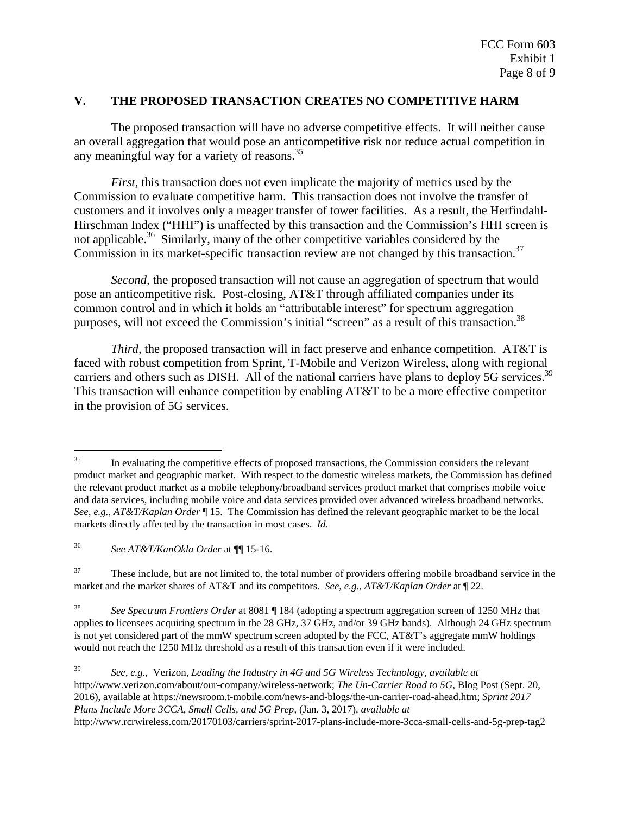#### **V. THE PROPOSED TRANSACTION CREATES NO COMPETITIVE HARM**

 The proposed transaction will have no adverse competitive effects. It will neither cause an overall aggregation that would pose an anticompetitive risk nor reduce actual competition in any meaningful way for a variety of reasons.<sup>35</sup>

*First,* this transaction does not even implicate the majority of metrics used by the Commission to evaluate competitive harm. This transaction does not involve the transfer of customers and it involves only a meager transfer of tower facilities. As a result, the Herfindahl-Hirschman Index ("HHI") is unaffected by this transaction and the Commission's HHI screen is not applicable.<sup>36</sup> Similarly, many of the other competitive variables considered by the Commission in its market-specific transaction review are not changed by this transaction.<sup>37</sup>

*Second,* the proposed transaction will not cause an aggregation of spectrum that would pose an anticompetitive risk. Post-closing, AT&T through affiliated companies under its common control and in which it holds an "attributable interest" for spectrum aggregation purposes, will not exceed the Commission's initial "screen" as a result of this transaction.<sup>38</sup>

*Third*, the proposed transaction will in fact preserve and enhance competition. AT&T is faced with robust competition from Sprint, T-Mobile and Verizon Wireless, along with regional carriers and others such as DISH. All of the national carriers have plans to deploy 5G services.<sup>39</sup> This transaction will enhance competition by enabling AT&T to be a more effective competitor in the provision of 5G services.

36 *See AT&T/KanOkla Order* at ¶¶ 15-16.

<sup>37</sup> These include, but are not limited to, the total number of providers offering mobile broadband service in the market and the market shares of AT&T and its competitors. *See, e.g., AT&T/Kaplan Order* at ¶ 22.

38 *See Spectrum Frontiers Order* at 8081 ¶ 184 (adopting a spectrum aggregation screen of 1250 MHz that applies to licensees acquiring spectrum in the 28 GHz, 37 GHz, and/or 39 GHz bands). Although 24 GHz spectrum is not yet considered part of the mmW spectrum screen adopted by the FCC, AT&T's aggregate mmW holdings would not reach the 1250 MHz threshold as a result of this transaction even if it were included.

<sup>39</sup> *See, e.g.*, Verizon, *Leading the Industry in 4G and 5G Wireless Technology*, *available at* http://www.verizon.com/about/our-company/wireless-network; *The Un-Carrier Road to 5G*, Blog Post (Sept. 20, 2016), available at https://newsroom.t-mobile.com/news-and-blogs/the-un-carrier-road-ahead.htm; *Sprint 2017 Plans Include More 3CCA, Small Cells, and 5G Prep*, (Jan. 3, 2017), *available at* http://www.rcrwireless.com/20170103/carriers/sprint-2017-plans-include-more-3cca-small-cells-and-5g-prep-tag2

<sup>35</sup> 35 In evaluating the competitive effects of proposed transactions, the Commission considers the relevant product market and geographic market. With respect to the domestic wireless markets, the Commission has defined the relevant product market as a mobile telephony/broadband services product market that comprises mobile voice and data services, including mobile voice and data services provided over advanced wireless broadband networks. *See, e.g., AT&T/Kaplan Order* ¶ 15. The Commission has defined the relevant geographic market to be the local markets directly affected by the transaction in most cases. *Id.*